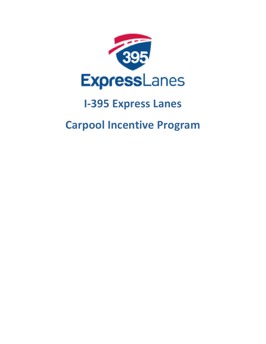

# **I-395 Express Lanes**

**Carpool Incentive Program**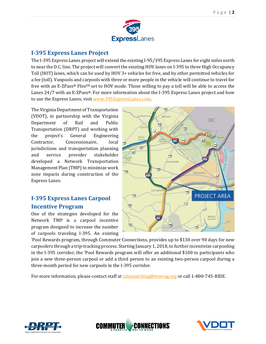



#### **I‐395 Express Lanes Project**

The I-395 Express Lanes project will extend the existing I-95/395 Express Lanes for eight miles north to near the D.C. line. The project will convert the existing HOV lanes on I-395 to three High Occupancy Toll (HOT) lanes, which can be used by HOV 3+ vehicles for free, and by other permitted vehicles for a fee (toll). Vanpools and carpools with three or more people in the vehicle will continue to travel for free with an E-ZPass® Flex $s$ M set to HOV mode. Those willing to pay a toll will be able to access the Lanes  $24/7$  with an E-ZPass®. For more information about the I-395 Express Lanes project and how to use the Express Lanes, visit www.395ExpressLanes.com.

The Virginia Department of Transportation (VDOT), in partnership with the Virginia Department of Rail and Public Transportation (DRPT) and working with the project's General Engineering Contractor, Concessionaire, local jurisdictions and transportation planning and service provider stakeholder developed a Network Transportation Management Plan (TMP) to minimize work zone impacts during construction of the Express Lanes.

## **I‐395 Express Lanes Carpool Incentive Program**

One of the strategies developed for the Network TMP is a carpool incentive program designed to increase the number of carpools traveling I-395. An existing



'Pool Rewards program, through Commuter Connections, provides up to \$130 over 90 days for new carpoolers through a trip-tracking process. Starting January 1, 2018, to further incentivize carpooling in the I-395 corridor, the 'Pool Rewards program will offer an additional \$100 to participants who join a new three-person carpool or add a third person to an existing two-person carpool during a three-month period for new carpools in the I-395 corridor.

For more information, please contact staff at ridematching@mwcog.org or call 1-800-745-RIDE.